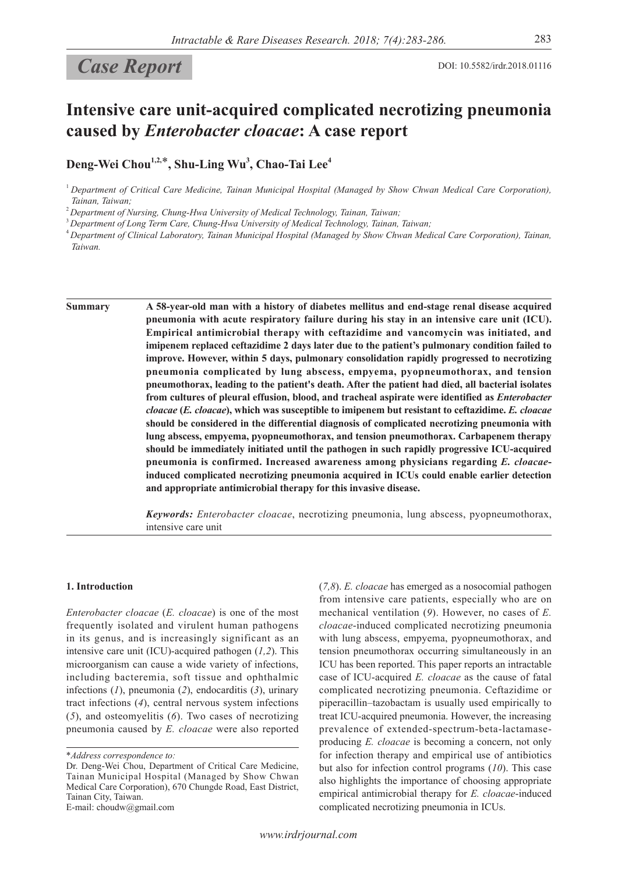# **Case Report** DOI: 10.5582/irdr.2018.01116

# **Intensive care unit-acquired complicated necrotizing pneumonia caused by** *Enterobacter cloacae***: A case report**

**Deng-Wei Chou1,2,**\***, Shu-Ling Wu<sup>3</sup> , Chao-Tai Lee4**

<sup>2</sup>*Department of Nursing, Chung-Hwa University of Medical Technology, Tainan, Taiwan;*

<sup>4</sup>*Department of Clinical Laboratory, Tainan Municipal Hospital (Managed by Show Chwan Medical Care Corporation), Tainan, Taiwan.*

**Summary A 58-year-old man with a history of diabetes mellitus and end-stage renal disease acquired pneumonia with acute respiratory failure during his stay in an intensive care unit (ICU). Empirical antimicrobial therapy with ceftazidime and vancomycin was initiated, and imipenem replaced ceftazidime 2 days later due to the patient's pulmonary condition failed to improve. However, within 5 days, pulmonary consolidation rapidly progressed to necrotizing pneumonia complicated by lung abscess, empyema, pyopneumothorax, and tension pneumothorax, leading to the patient's death. After the patient had died, all bacterial isolates from cultures of pleural effusion, blood, and tracheal aspirate were identified as** *Enterobacter cloacae* **(***E. cloacae***), which was susceptible to imipenem but resistant to ceftazidime.** *E. cloacae* **should be considered in the differential diagnosis of complicated necrotizing pneumonia with lung abscess, empyema, pyopneumothorax, and tension pneumothorax. Carbapenem therapy should be immediately initiated until the pathogen in such rapidly progressive ICU-acquired pneumonia is confirmed. Increased awareness among physicians regarding** *E. cloacae***induced complicated necrotizing pneumonia acquired in ICUs could enable earlier detection and appropriate antimicrobial therapy for this invasive disease.** 

> *Keywords: Enterobacter cloacae*, necrotizing pneumonia, lung abscess, pyopneumothorax, intensive care unit

### **1. Introduction**

*Enterobacter cloacae* (*E. cloacae*) is one of the most frequently isolated and virulent human pathogens in its genus, and is increasingly significant as an intensive care unit (ICU)-acquired pathogen (*1,2*). This microorganism can cause a wide variety of infections, including bacteremia, soft tissue and ophthalmic infections (*1*), pneumonia (*2*), endocarditis (*3*), urinary tract infections (*4*), central nervous system infections (*5*), and osteomyelitis (*6*). Two cases of necrotizing pneumonia caused by *E. cloacae* were also reported

(*7,8*). *E. cloacae* has emerged as a nosocomial pathogen from intensive care patients, especially who are on mechanical ventilation (*9*). However, no cases of *E. cloacae*-induced complicated necrotizing pneumonia with lung abscess, empyema, pyopneumothorax, and tension pneumothorax occurring simultaneously in an ICU has been reported. This paper reports an intractable case of ICU-acquired *E. cloacae* as the cause of fatal complicated necrotizing pneumonia. Ceftazidime or piperacillin–tazobactam is usually used empirically to treat ICU-acquired pneumonia. However, the increasing prevalence of extended-spectrum-beta-lactamaseproducing *E. cloacae* is becoming a concern, not only for infection therapy and empirical use of antibiotics but also for infection control programs (*10*). This case also highlights the importance of choosing appropriate empirical antimicrobial therapy for *E. cloacae*-induced complicated necrotizing pneumonia in ICUs.

<sup>&</sup>lt;sup>1</sup> Department of Critical Care Medicine, Tainan Municipal Hospital (Managed by Show Chwan Medical Care Corporation), *Tainan, Taiwan;*

<sup>3</sup>*Department of Long Term Care, Chung-Hwa University of Medical Technology, Tainan, Taiwan;*

<sup>\*</sup>*Address correspondence to:*

Dr. Deng-Wei Chou, Department of Critical Care Medicine, Tainan Municipal Hospital (Managed by Show Chwan Medical Care Corporation), 670 Chungde Road, East District, Tainan City, Taiwan. E-mail: choudw@gmail.com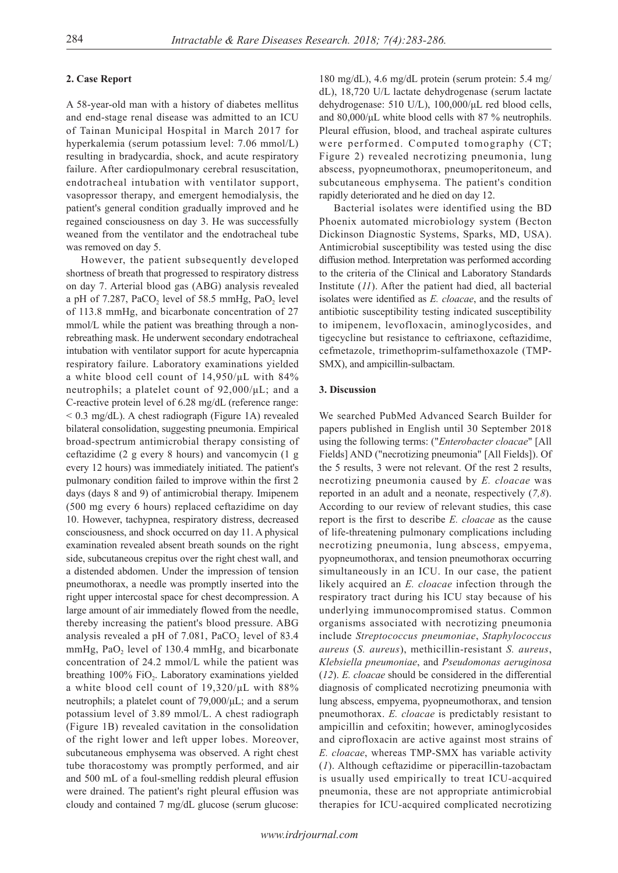## **2. Case Report**

A 58-year-old man with a history of diabetes mellitus and end-stage renal disease was admitted to an ICU of Tainan Municipal Hospital in March 2017 for hyperkalemia (serum potassium level: 7.06 mmol/L) resulting in bradycardia, shock, and acute respiratory failure. After cardiopulmonary cerebral resuscitation, endotracheal intubation with ventilator support, vasopressor therapy, and emergent hemodialysis, the patient's general condition gradually improved and he regained consciousness on day 3. He was successfully weaned from the ventilator and the endotracheal tube was removed on day 5.

However, the patient subsequently developed shortness of breath that progressed to respiratory distress on day 7. Arterial blood gas (ABG) analysis revealed a pH of 7.287, PaCO<sub>2</sub> level of 58.5 mmHg, PaO<sub>2</sub> level of 113.8 mmHg, and bicarbonate concentration of 27 mmol/L while the patient was breathing through a nonrebreathing mask. He underwent secondary endotracheal intubation with ventilator support for acute hypercapnia respiratory failure. Laboratory examinations yielded a white blood cell count of 14,950/μL with 84% neutrophils; a platelet count of 92,000/μL; and a C-reactive protein level of 6.28 mg/dL (reference range: < 0.3 mg/dL). A chest radiograph (Figure 1A) revealed bilateral consolidation, suggesting pneumonia. Empirical broad-spectrum antimicrobial therapy consisting of ceftazidime (2 g every 8 hours) and vancomycin (1 g every 12 hours) was immediately initiated. The patient's pulmonary condition failed to improve within the first 2 days (days 8 and 9) of antimicrobial therapy. Imipenem (500 mg every 6 hours) replaced ceftazidime on day 10. However, tachypnea, respiratory distress, decreased consciousness, and shock occurred on day 11. A physical examination revealed absent breath sounds on the right side, subcutaneous crepitus over the right chest wall, and a distended abdomen. Under the impression of tension pneumothorax, a needle was promptly inserted into the right upper intercostal space for chest decompression. A large amount of air immediately flowed from the needle, thereby increasing the patient's blood pressure. ABG analysis revealed a pH of 7.081,  $PaCO<sub>2</sub>$  level of 83.4 mmHg,  $PaO<sub>2</sub>$  level of 130.4 mmHg, and bicarbonate concentration of 24.2 mmol/L while the patient was breathing  $100\%$  FiO<sub>2</sub>. Laboratory examinations yielded a white blood cell count of 19,320/μL with 88% neutrophils; a platelet count of 79,000/μL; and a serum potassium level of 3.89 mmol/L. A chest radiograph (Figure 1B) revealed cavitation in the consolidation of the right lower and left upper lobes. Moreover, subcutaneous emphysema was observed. A right chest tube thoracostomy was promptly performed, and air and 500 mL of a foul-smelling reddish pleural effusion were drained. The patient's right pleural effusion was cloudy and contained 7 mg/dL glucose (serum glucose:

180 mg/dL), 4.6 mg/dL protein (serum protein: 5.4 mg/ dL), 18,720 U/L lactate dehydrogenase (serum lactate dehydrogenase: 510 U/L), 100,000/μL red blood cells, and 80,000/μL white blood cells with 87 % neutrophils. Pleural effusion, blood, and tracheal aspirate cultures were performed. Computed tomography (CT; Figure 2) revealed necrotizing pneumonia, lung abscess, pyopneumothorax, pneumoperitoneum, and subcutaneous emphysema. The patient's condition rapidly deteriorated and he died on day 12.

Bacterial isolates were identified using the BD Phoenix automated microbiology system (Becton Dickinson Diagnostic Systems, Sparks, MD, USA). Antimicrobial susceptibility was tested using the disc diffusion method. Interpretation was performed according to the criteria of the Clinical and Laboratory Standards Institute (*11*). After the patient had died, all bacterial isolates were identified as *E. cloacae*, and the results of antibiotic susceptibility testing indicated susceptibility to imipenem, levofloxacin, aminoglycosides, and tigecycline but resistance to ceftriaxone, ceftazidime, cefmetazole, trimethoprim-sulfamethoxazole (TMP-SMX), and ampicillin-sulbactam.

### **3. Discussion**

We searched PubMed Advanced Search Builder for papers published in English until 30 September 2018 using the following terms: ("*Enterobacter cloacae*" [All Fields] AND ("necrotizing pneumonia" [All Fields]). Of the 5 results, 3 were not relevant. Of the rest 2 results, necrotizing pneumonia caused by *E. cloacae* was reported in an adult and a neonate, respectively (*7,8*). According to our review of relevant studies, this case report is the first to describe *E. cloacae* as the cause of life-threatening pulmonary complications including necrotizing pneumonia, lung abscess, empyema, pyopneumothorax, and tension pneumothorax occurring simultaneously in an ICU. In our case, the patient likely acquired an *E. cloacae* infection through the respiratory tract during his ICU stay because of his underlying immunocompromised status. Common organisms associated with necrotizing pneumonia include *Streptococcus pneumoniae*, *Staphylococcus aureus* (*S. aureus*), methicillin-resistant *S. aureus*, *Klebsiella pneumoniae*, and *Pseudomonas aeruginosa* (*12*). *E. cloacae* should be considered in the differential diagnosis of complicated necrotizing pneumonia with lung abscess, empyema, pyopneumothorax, and tension pneumothorax. *E. cloacae* is predictably resistant to ampicillin and cefoxitin; however, aminoglycosides and ciprofloxacin are active against most strains of *E. cloacae*, whereas TMP-SMX has variable activity (*1*). Although ceftazidime or piperacillin-tazobactam is usually used empirically to treat ICU-acquired pneumonia, these are not appropriate antimicrobial therapies for ICU-acquired complicated necrotizing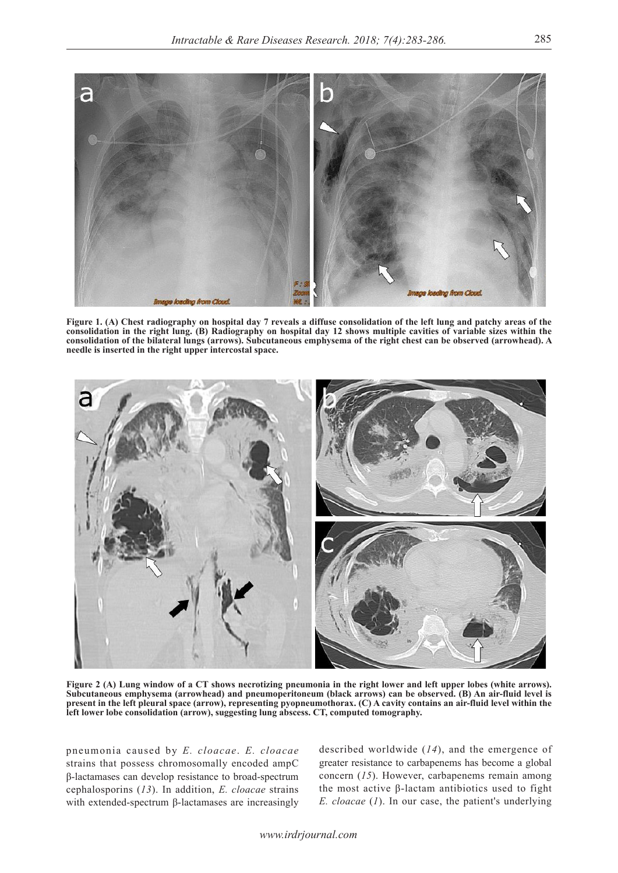

**Figure 1. (A) Chest radiography on hospital day 7 reveals a diffuse consolidation of the left lung and patchy areas of the consolidation in the right lung. (B) Radiography on hospital day 12 shows multiple cavities of variable sizes within the consolidation of the bilateral lungs (arrows). Subcutaneous emphysema of the right chest can be observed (arrowhead). A needle is inserted in the right upper intercostal space.**



Figure 2 (A) Lung window of a CT shows necrotizing pneumonia in the right lower and left upper lobes (white arrows). **Subcutaneous emphysema (arrowhead) and pneumoperitoneum (black arrows) can be observed. (B) An air-fluid level is present in the left pleural space (arrow), representing pyopneumothorax. (C) A cavity contains an air-fluid level within the left lower lobe consolidation (arrow), suggesting lung abscess. CT, computed tomography.**

pneumonia caused by *E. cloacae*. *E. cloacae* strains that possess chromosomally encoded ampC β-lactamases can develop resistance to broad-spectrum cephalosporins (*13*). In addition, *E. cloacae* strains with extended-spectrum β-lactamases are increasingly

described worldwide (*14*), and the emergence of greater resistance to carbapenems has become a global concern (*15*). However, carbapenems remain among the most active β-lactam antibiotics used to fight *E. cloacae* (*1*). In our case, the patient's underlying